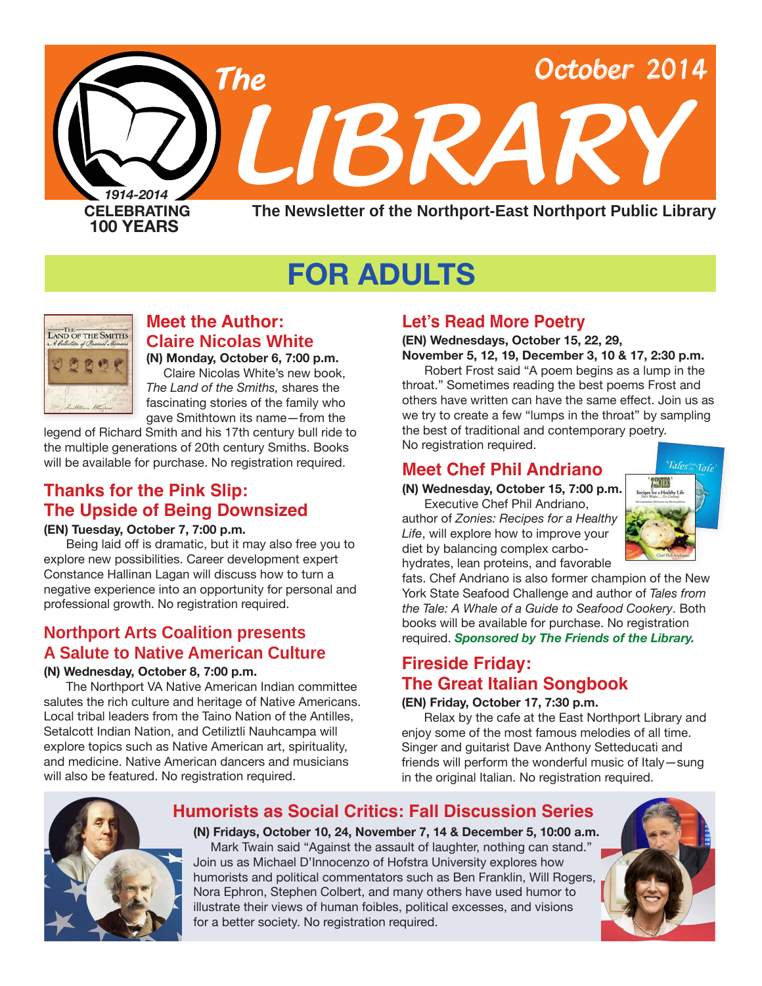

# **FOR ADULTS**



**Meet the Author: Claire Nicolas White (N) Monday, October 6, 7:00 p.m.** Claire Nicolas White's new book,

*The Land of the Smiths,* shares the fascinating stories of the family who gave Smithtown its name—from the legend of Richard Smith and his 17th century bull ride to

the multiple generations of 20th century Smiths. Books will be available for purchase. No registration required.

# **Thanks for the Pink Slip: The Upside of Being Downsized**

#### **(EN) Tuesday, October 7, 7:00 p.m.**

Being laid off is dramatic, but it may also free you to explore new possibilities. Career development expert Constance Hallinan Lagan will discuss how to turn a negative experience into an opportunity for personal and professional growth. No registration required.

# **Northport Arts Coalition presents A Salute to Native American Culture**

#### **(N) Wednesday, October 8, 7:00 p.m.**

The Northport VA Native American Indian committee salutes the rich culture and heritage of Native Americans. Local tribal leaders from the Taino Nation of the Antilles, Setalcott Indian Nation, and Cetiliztli Nauhcampa will explore topics such as Native American art, spirituality, and medicine. Native American dancers and musicians will also be featured. No registration required.

# **Let's Read More Poetry**

**(EN) Wednesdays, October 15, 22, 29, November 5, 12, 19, December 3, 10 & 17, 2:30 p.m.**

Robert Frost said "A poem begins as a lump in the throat." Sometimes reading the best poems Frost and others have written can have the same effect. Join us as we try to create a few "lumps in the throat" by sampling the best of traditional and contemporary poetry. No registration required.

# **Meet Chef Phil Andriano**

**(N) Wednesday, October 15, 7:00 p.m.**

Executive Chef Phil Andriano, author of *Zonies: Recipes for a Healthy Life*, will explore how to improve your diet by balancing complex carbohydrates, lean proteins, and favorable



fats. Chef Andriano is also former champion of the New York State Seafood Challenge and author of *Tales from the Tale: A Whale of a Guide to Seafood Cookery*. Both books will be available for purchase. No registration required. *Sponsored by The Friends of the Library.*

# **Fireside Friday: The Great Italian Songbook**

#### **(EN) Friday, October 17, 7:30 p.m.**

Relax by the cafe at the East Northport Library and enjoy some of the most famous melodies of all time. Singer and guitarist Dave Anthony Setteducati and friends will perform the wonderful music of Italy—sung in the original Italian. No registration required.



# **Humorists as Social Critics: Fall Discussion Series**

**(N) Fridays, October 10, 24, November 7, 14 & December 5, 10:00 a.m.** Mark Twain said "Against the assault of laughter, nothing can stand." Join us as Michael D'Innocenzo of Hofstra University explores how humorists and political commentators such as Ben Franklin, Will Rogers, Nora Ephron, Stephen Colbert, and many others have used humor to illustrate their views of human foibles, political excesses, and visions for a better society. No registration required.

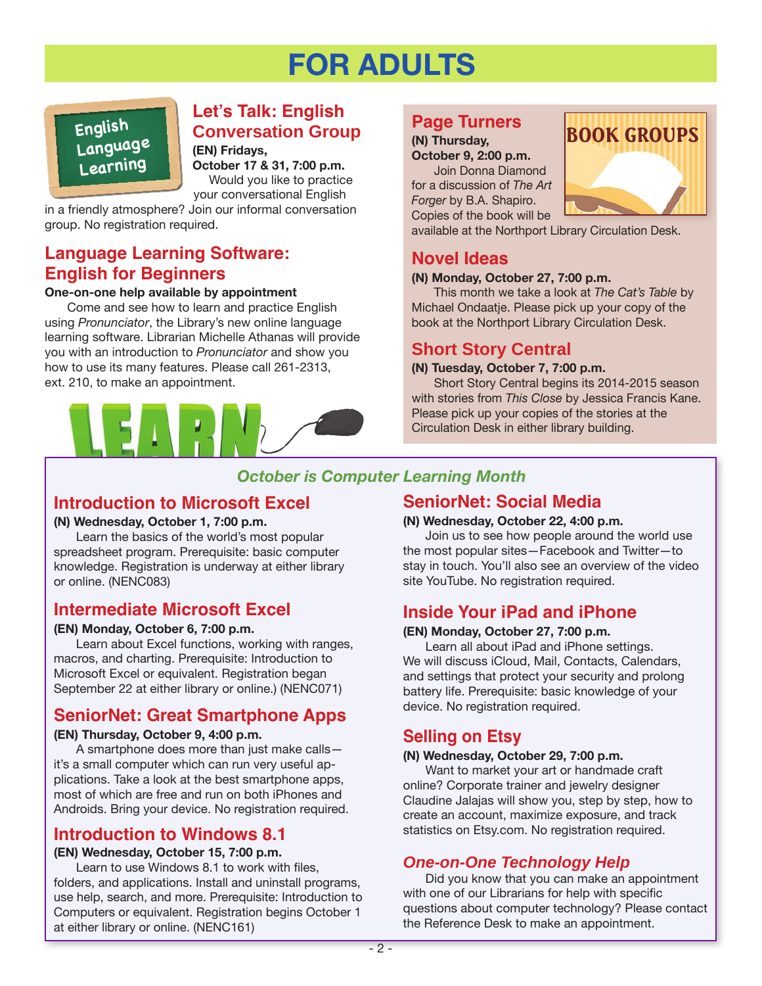# **FOR ADULTS**

**English Language** 

# **Let's Talk: English Conversation Group**

**(EN) Fridays, Learning October 17 & 31, 7:00 p.m.**<br>Would you like to practice your conversational English

in a friendly atmosphere? Join our informal conversation group. No registration required.

## **Language Learning Software: English for Beginners**

#### **One-on-one help available by appointment**

Come and see how to learn and practice English using *Pronunciator*, the Library's new online language learning software. Librarian Michelle Athanas will provide you with an introduction to *Pronunciator* and show you how to use its many features. Please call 261-2313, ext. 210, to make an appointment.



# **Page Turners**

**(N) Thursday, October 9, 2:00 p.m.** Join Donna Diamond for a discussion of *The Art Forger* by B.A. Shapiro. Copies of the book will be



available at the Northport Library Circulation Desk.

## **Novel Ideas**

#### **(N) Monday, October 27, 7:00 p.m.**

This month we take a look at *The Cat's Table* by Michael Ondaatje. Please pick up your copy of the book at the Northport Library Circulation Desk.

## **Short Story Central**

#### **(N) Tuesday, October 7, 7:00 p.m.**

Short Story Central begins its 2014-2015 season with stories from *This Close* by Jessica Francis Kane. Please pick up your copies of the stories at the Circulation Desk in either library building.

# *October is Computer Learning Month*

## **Introduction to Microsoft Excel**

#### **(N) Wednesday, October 1, 7:00 p.m.**

Learn the basics of the world's most popular spreadsheet program. Prerequisite: basic computer knowledge. Registration is underway at either library or online. ([NENC083](http://alpha2.suffolk.lib.ny.us/search/?searchtype=X&SORT=D&searcharg=nenc083&searchscope=43))

# **Intermediate Microsoft Excel**

#### **(EN) Monday, October 6, 7:00 p.m.**

Learn about Excel functions, working with ranges, macros, and charting. Prerequisite: Introduction to Microsoft Excel or equivalent. Registration began September 22 at either library or online.) ([NENC071](http://alpha2.suffolk.lib.ny.us/search/?searchtype=X&SORT=D&searcharg=nenc071&searchscope=43))

# **SeniorNet: Great Smartphone Apps**

#### **(EN) Thursday, October 9, 4:00 p.m.**

A smartphone does more than just make calls it's a small computer which can run very useful applications. Take a look at the best smartphone apps, most of which are free and run on both iPhones and Androids. Bring your device. No registration required.

# **Introduction to Windows 8.1**

#### **(EN) Wednesday, October 15, 7:00 p.m.**

Learn to use Windows 8.1 to work with files, folders, and applications. Install and uninstall programs, use help, search, and more. Prerequisite: Introduction to Computers or equivalent. Registration begins October 1 at either library or online. ([NENC161\)](http://alpha2.suffolk.lib.ny.us/search/?searchtype=X&SORT=D&searcharg=nenc161&searchscope=43)

# **SeniorNet: Social Media**

#### **(N) Wednesday, October 22, 4:00 p.m.**

Join us to see how people around the world use the most popular sites—Facebook and Twitter—to stay in touch. You'll also see an overview of the video site YouTube. No registration required.

# **Inside Your iPad and iPhone**

#### **(EN) Monday, October 27, 7:00 p.m.**

Learn all about iPad and iPhone settings. We will discuss iCloud, Mail, Contacts, Calendars, and settings that protect your security and prolong battery life. Prerequisite: basic knowledge of your device. No registration required.

# **Selling on Etsy**

#### **(N) Wednesday, October 29, 7:00 p.m.**

Want to market your art or handmade craft online? Corporate trainer and jewelry designer Claudine Jalajas will show you, step by step, how to create an account, maximize exposure, and track statistics on Etsy.com. No registration required.

# *One-on-One Technology Help*

Did you know that you can make an appointment with one of our Librarians for help with specific questions about computer technology? Please contact the Reference Desk to make an appointment.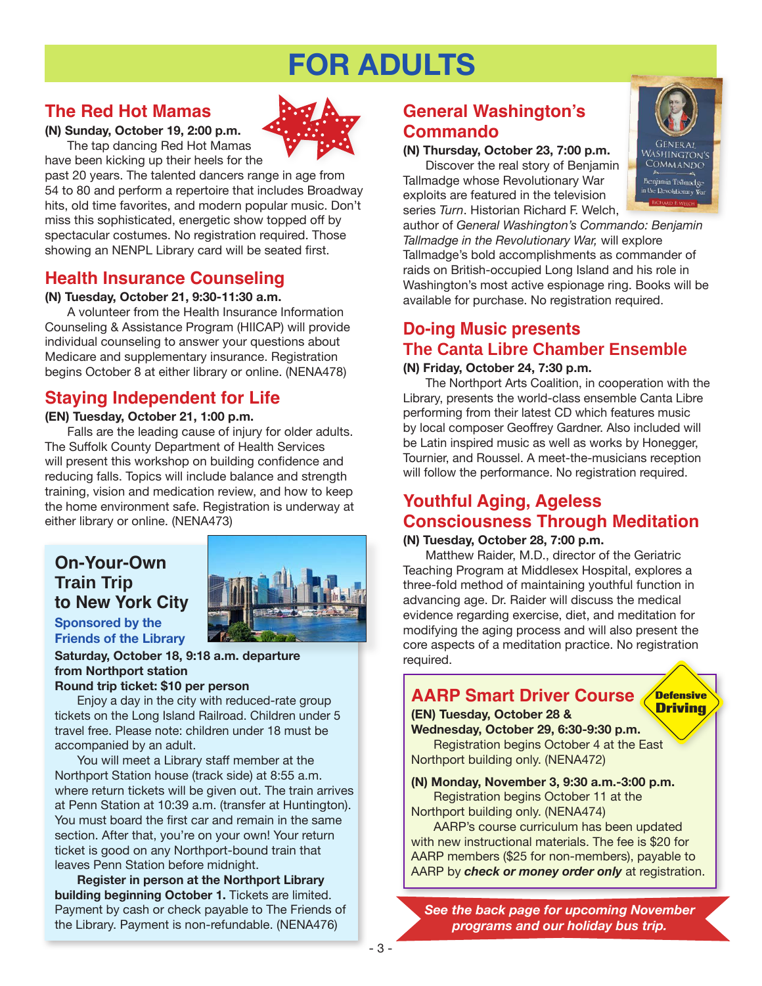# **FOR ADULTS**

# **The Red Hot Mamas**



**(N) Sunday, October 19, 2:00 p.m.** The tap dancing Red Hot Mamas have been kicking up their heels for the

past 20 years. The talented dancers range in age from 54 to 80 and perform a repertoire that includes Broadway hits, old time favorites, and modern popular music. Don't miss this sophisticated, energetic show topped off by spectacular costumes. No registration required. Those

# showing an NENPL Library card will be seated first.

# **Health Insurance Counseling**

#### **(N) Tuesday, October 21, 9:30-11:30 a.m.**

A volunteer from the Health Insurance Information Counseling & Assistance Program (HIICAP) will provide individual counseling to answer your questions about Medicare and supplementary insurance. Registration begins October 8 at either library or online. [\(NENA478\)](http://alpha2.suffolk.lib.ny.us/search/?searchtype=X&SORT=D&searcharg=nena478&searchscope=43)

# **Staying Independent for Life**

#### **(EN) Tuesday, October 21, 1:00 p.m.**

Falls are the leading cause of injury for older adults. The Suffolk County Department of Health Services will present this workshop on building confidence and reducing falls. Topics will include balance and strength training, vision and medication review, and how to keep the home environment safe. Registration is underway at either library or online. ([NENA473](http://alpha2.suffolk.lib.ny.us/search/?searchtype=X&SORT=D&searcharg=nena473&searchscope=43))

# **On-Your-Own Train Trip to New York City**



## **Sponsored by the Friends of the Library**

**Saturday, October 18, 9:18 a.m. departure from Northport station**

#### **Round trip ticket: \$10 per person**

Enjoy a day in the city with reduced-rate group tickets on the Long Island Railroad. Children under 5 travel free. Please note: children under 18 must be accompanied by an adult.

You will meet a Library staff member at the Northport Station house (track side) at 8:55 a.m. where return tickets will be given out. The train arrives at Penn Station at 10:39 a.m. (transfer at Huntington). You must board the first car and remain in the same section. After that, you're on your own! Your return ticket is good on any Northport-bound train that leaves Penn Station before midnight.

**Register in person at the Northport Library building beginning October 1.** Tickets are limited. Payment by cash or check payable to The Friends of the Library. Payment is non-refundable. ([NENA476\)](http://alpha2.suffolk.lib.ny.us/search/?searchtype=X&SORT=D&searcharg=nena476&searchscope=43)

# **General Washington's Commando**

#### **(N) Thursday, October 23, 7:00 p.m.**

Discover the real story of Benjamin Tallmadge whose Revolutionary War exploits are featured in the television series *Turn*. Historian Richard F. Welch,



**Defensive Driving**

author of *General Washington's Commando: Benjamin Tallmadge in the Revolutionary War,* will explore Tallmadge's bold accomplishments as commander of raids on British-occupied Long Island and his role in Washington's most active espionage ring. Books will be available for purchase. No registration required.

# **Do-ing Music presents The Canta Libre Chamber Ensemble**

#### **(N) Friday, October 24, 7:30 p.m.**

The Northport Arts Coalition, in cooperation with the Library, presents the world-class ensemble Canta Libre performing from their latest CD which features music by local composer Geoffrey Gardner. Also included will be Latin inspired music as well as works by Honegger, Tournier, and Roussel. A meet-the-musicians reception will follow the performance. No registration required.

# **Youthful Aging, Ageless Consciousness Through Meditation**

#### **(N) Tuesday, October 28, 7:00 p.m.**

Matthew Raider, M.D., director of the Geriatric Teaching Program at Middlesex Hospital, explores a three-fold method of maintaining youthful function in advancing age. Dr. Raider will discuss the medical evidence regarding exercise, diet, and meditation for modifying the aging process and will also present the core aspects of a meditation practice. No registration required.

# **AARP Smart Driver Course**

#### **(EN) Tuesday, October 28 & Wednesday, October 29, 6:30-9:30 p.m.**

Registration begins October 4 at the East Northport building only. ([NENA472](http://alpha2.suffolk.lib.ny.us/search/?searchtype=X&SORT=D&searcharg=nena472&searchscope=43))

#### **(N) Monday, November 3, 9:30 a.m.-3:00 p.m.**  Registration begins October 11 at the

Northport building only. ([NENA474](http://alpha2.suffolk.lib.ny.us/search/?searchtype=X&SORT=D&searcharg=nena474&searchscope=43))

AARP's course curriculum has been updated with new instructional materials. The fee is \$20 for AARP members (\$25 for non-members), payable to AARP by *check or money order only* at registration.

*See the back page for upcoming November programs and our holiday bus trip.*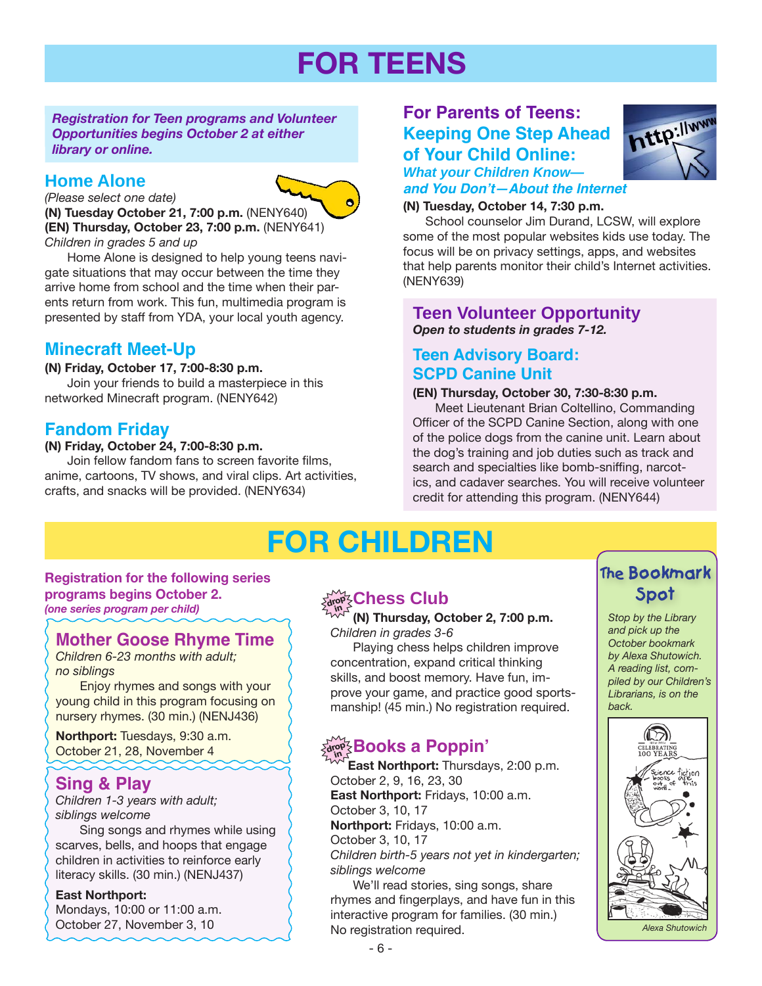# **FOR TEENS**

*Registration for Teen programs and Volunteer Opportunities begins October 2 at either library or online.*

#### **Home Alone**

*(Please select one date)*

**(N) Tuesday October 21, 7:00 p.m.** ([NENY640\)](http://alpha2.suffolk.lib.ny.us/search/?searchtype=X&SORT=D&searcharg=neny640&searchscope=43) **(EN) Thursday, October 23, 7:00 p.m.** [\(NENY641](http://alpha2.suffolk.lib.ny.us/search/?searchtype=X&SORT=D&searcharg=neny641&searchscope=43)) *Children in grades 5 and up*

Home Alone is designed to help young teens navigate situations that may occur between the time they arrive home from school and the time when their parents return from work. This fun, multimedia program is presented by staff from YDA, your local youth agency.

## **Minecraft Meet-Up**

#### **(N) Friday, October 17, 7:00-8:30 p.m.**

Join your friends to build a masterpiece in this networked Minecraft program. ([NENY642](http://alpha2.suffolk.lib.ny.us/search/?searchtype=X&SORT=D&searcharg=neny642&searchscope=43))

## **Fandom Friday**

#### **(N) Friday, October 24, 7:00-8:30 p.m.**

Join fellow fandom fans to screen favorite films, anime, cartoons, TV shows, and viral clips. Art activities, crafts, and snacks will be provided. [\(NENY634\)](http://alpha2.suffolk.lib.ny.us/search/?searchtype=X&SORT=D&searcharg=neny634&searchscope=43)

#### **For Parents of Teens: Keeping One Step Ahead of Your Child Online:** *What your Children Know—*



**and You Don't—About the Internet**

#### **(N) Tuesday, October 14, 7:30 p.m.**

School counselor Jim Durand, LCSW, will explore some of the most popular websites kids use today. The focus will be on privacy settings, apps, and websites that help parents monitor their child's Internet activities. ([NENY639](http://alpha2.suffolk.lib.ny.us/search/?searchtype=X&SORT=D&searcharg=neny639&searchscope=43))

#### **Teen Volunteer Opportunity** *Open to students in grades 7-12.*

#### **Teen Advisory Board: SCPD Canine Unit**

#### **(EN) Thursday, October 30, 7:30-8:30 p.m.**

Meet Lieutenant Brian Coltellino, Commanding Officer of the SCPD Canine Section, along with one of the police dogs from the canine unit. Learn about the dog's training and job duties such as track and search and specialties like bomb-sniffing, narcotics, and cadaver searches. You will receive volunteer credit for attending this program. [\(NENY644\)](http://alpha2.suffolk.lib.ny.us/search/?searchtype=X&SORT=D&searcharg=neny644&searchscope=43)

# **FOR CHILDREN**

## **Registration for the following series programs begins October 2.**

*(one series program per child)*

#### **Mother Goose Rhyme Time**

*Children 6-23 months with adult; no siblings*

 Enjoy rhymes and songs with your young child in this program focusing on nursery rhymes. (30 min.) ([NENJ436](http://alpha2.suffolk.lib.ny.us/search/?searchtype=X&SORT=D&searcharg=nenj436&searchscope=43))

**Northport:** Tuesdays, 9:30 a.m. October 21, 28, November 4

## **Sing & Play**

*Children 1-3 years with adult; siblings welcome*

 Sing songs and rhymes while using scarves, bells, and hoops that engage children in activities to reinforce early literacy skills. (30 min.) ([NENJ437](http://alpha2.suffolk.lib.ny.us/search/?searchtype=X&SORT=D&searcharg=nenj437&searchscope=43))

#### **East Northport:**

Mondays, 10:00 or 11:00 a.m. October 27, November 3, 10

# drop **Chess Club and Spot**

#### **in (N) Thursday, October 2, 7:00 p.m.** *Children in grades 3-6*

Playing chess helps children improve concentration, expand critical thinking skills, and boost memory. Have fun, improve your game, and practice good sportsmanship! (45 min.) No registration required.

# $\frac{1}{2}$  **Books a Poppin**'

 **East Northport:** Thursdays, 2:00 p.m. October 2, 9, 16, 23, 30 **East Northport:** Fridays, 10:00 a.m. October 3, 10, 17 **Northport:** Fridays, 10:00 a.m. October 3, 10, 17 *Children birth-5 years not yet in kindergarten; siblings welcome* We'll read stories, sing songs, share

rhymes and fingerplays, and have fun in this interactive program for families. (30 min.) No registration required.

# **The Bookmark**

*Stop by the Library and pick up the October bookmark by Alexa Shutowich. A reading list, compiled by our Children's Librarians, is on the back.*

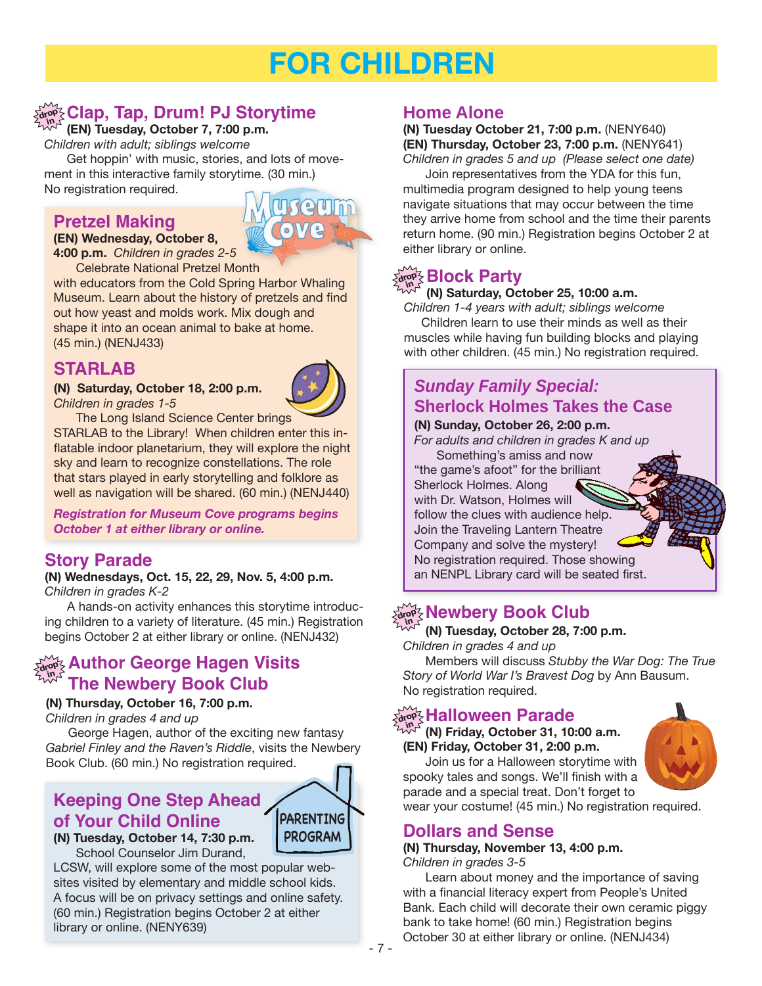# **FOR CHILDREN**

#### $\log \textrm{C}$ lap, Tap, Drum! PJ Storytime **in**

#### **(EN) Tuesday, October 7, 7:00 p.m.**

*Children with adult; siblings welcome*

Get hoppin' with music, stories, and lots of movement in this interactive family storytime. (30 min.) No registration required.

**Pretzel Making**

#### **(EN) Wednesday, October 8,**

**4:00 p.m.** *Children in grades 2-5* Celebrate National Pretzel Month

with educators from the Cold Spring Harbor Whaling Museum. Learn about the history of pretzels and find out how yeast and molds work. Mix dough and shape it into an ocean animal to bake at home. (45 min.) ([NENJ433](http://alpha2.suffolk.lib.ny.us/search/?searchtype=X&SORT=D&searcharg=nenj433&searchscope=43))

# **STARLAB**

**(N) Saturday, October 18, 2:00 p.m.** *Children in grades 1-5*



The Long Island Science Center brings

STARLAB to the Library! When children enter this inflatable indoor planetarium, they will explore the night sky and learn to recognize constellations. The role that stars played in early storytelling and folklore as well as navigation will be shared. (60 min.) ([NENJ440](http://alpha2.suffolk.lib.ny.us/search/?searchtype=X&SORT=D&searcharg=nenj440&searchscope=43))

*Registration for Museum Cove programs begins October 1 at either library or online.* 

## **Story Parade**

#### **(N) Wednesdays, Oct. 15, 22, 29, Nov. 5, 4:00 p.m.** *Children in grades K-2*

A hands-on activity enhances this storytime introducing children to a variety of literature. (45 min.) Registration begins October 2 at either library or online. ([NENJ432](http://alpha2.suffolk.lib.ny.us/search/?searchtype=X&SORT=D&searcharg=nenj432&searchscope=43))

#### **Author George Hagen Visits The Newbery Book Club drop in**

#### **(N) Thursday, October 16, 7:00 p.m.**

*Children in grades 4 and up*

George Hagen, author of the exciting new fantasy *Gabriel Finley and the Raven's Riddle*, visits the Newbery Book Club. (60 min.) No registration required.

# **of Your Child Online**



**(N) Tuesday, October 14, 7:30 p.m.** School Counselor Jim Durand,

LCSW, will explore some of the most popular websites visited by elementary and middle school kids. A focus will be on privacy settings and online safety. (60 min.) Registration begins October 2 at either library or online. ([NENY639\)](http://alpha2.suffolk.lib.ny.us/search/?searchtype=X&SORT=D&searcharg=neny639&searchscope=43)

## **Home Alone**

#### **(N) Tuesday October 21, 7:00 p.m.** ([NENY640\)](http://alpha2.suffolk.lib.ny.us/search/?searchtype=X&SORT=D&searcharg=neny640&searchscope=43) **(EN) Thursday, October 23, 7:00 p.m.** [\(NENY641](http://alpha2.suffolk.lib.ny.us/search/?searchtype=X&SORT=D&searcharg=neny641&searchscope=43)) *Children in grades 5 and up (Please select one date)*

Join representatives from the YDA for this fun, multimedia program designed to help young teens navigate situations that may occur between the time they arrive home from school and the time their parents return home. (90 min.) Registration begins October 2 at either library or online.

# drop3 **Block Party**

#### **(N) Saturday, October 25, 10:00 a.m.**

*Children 1-4 years with adult; siblings welcome* Children learn to use their minds as well as their muscles while having fun building blocks and playing with other children. (45 min.) No registration required.

# *Sunday Family Special:*  **Sherlock Holmes Takes the Case**

#### **(N) Sunday, October 26, 2:00 p.m.**

*For adults and children in grades K and up*

Something's amiss and now "the game's afoot" for the brilliant Sherlock Holmes. Along with Dr. Watson, Holmes will follow the clues with audience help. Join the Traveling Lantern Theatre Company and solve the mystery! No registration required. Those showing an NENPL Library card will be seated first.

#### $\frac{1}{\alpha^{top} \leq}$  Newbery Book Club **in**

#### **(N) Tuesday, October 28, 7:00 p.m.**

*Children in grades 4 and up*

Members will discuss *Stubby the War Dog: The True Story of World War I's Bravest Dog* by Ann Bausum. No registration required.

#### $\frac{1}{\alpha_0^2}$  Halloween Parade **in**

**(N) Friday, October 31, 10:00 a.m. (EN) Friday, October 31, 2:00 p.m.** Join us for a Halloween storytime with



**Keeping One Step Ahead Manual Step Ahead Acception** parade and a special treat. Don't forget to wear your costume! (45 min.) No registration required.

## **Dollars and Sense**

#### **(N) Thursday, November 13, 4:00 p.m.** *Children in grades 3-5*

Learn about money and the importance of saving with a financial literacy expert from People's United Bank. Each child will decorate their own ceramic piggy bank to take home! (60 min.) Registration begins October 30 at either library or online. ([NENJ434](http://alpha2.suffolk.lib.ny.us/search/?searchtype=X&SORT=D&searcharg=nenj434&searchscope=43))